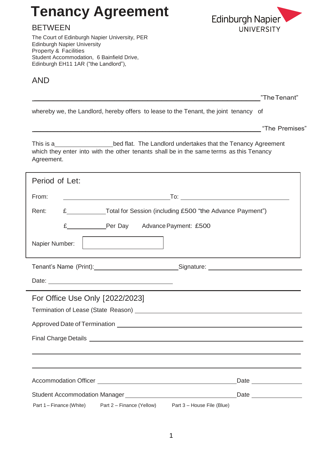# **Tenancy Agreement**

# BETWEEN

The Court of Edinburgh Napier University, PER Edinburgh Napier University Property & Facilities Student Accommodation, 6 Bainfield Drive, Edinburgh EH11 1AR ("the Landlord"),

# AND



\_\_\_\_\_\_\_\_\_\_\_\_\_\_\_\_\_\_\_\_\_\_\_\_\_\_\_\_\_\_\_\_\_\_\_\_\_\_\_\_\_\_\_\_\_\_\_\_"TheTenant"

whereby we, the Landlord, hereby offers to lease to the Tenant, the joint tenancy of

\_\_\_\_\_\_\_\_\_\_\_\_\_\_\_\_\_\_\_\_\_\_\_\_\_\_\_\_\_\_\_\_\_\_\_\_\_\_\_\_\_\_\_\_\_\_\_\_\_\_\_\_\_\_\_\_\_\_\_\_\_\_\_\_\_\_\_ "The Premises"

٦

This is a bed flat. The Landlord undertakes that the Tenancy Agreement which they enter into with the other tenants shall be in the same terms as this Tenancy Agreement.

| Period of Let:                                                                                                                                                                                                                                                                                |
|-----------------------------------------------------------------------------------------------------------------------------------------------------------------------------------------------------------------------------------------------------------------------------------------------|
| From:                                                                                                                                                                                                                                                                                         |
| E Total for Session (including £500 "the Advance Payment")<br>Rent:                                                                                                                                                                                                                           |
| £________________Per Day Advance Payment: £500                                                                                                                                                                                                                                                |
| Napier Number:                                                                                                                                                                                                                                                                                |
| Tenant's Name (Print): Signature: Signature: Signature: Signature: Signature: Signature: Signature: Signature: Signature: Signature: Signature: Signature: Signature: Signature: Signature: Signature: Signature: Signature: S                                                                |
|                                                                                                                                                                                                                                                                                               |
| For Office Use Only [2022/2023]                                                                                                                                                                                                                                                               |
| Termination of Lease (State Reason) Lease Contract and Contract and Contract and Contract and Contract and Contract and Contract and Contract and Contract and Contract and Contract and Contract and Contract and Contract an                                                                |
|                                                                                                                                                                                                                                                                                               |
|                                                                                                                                                                                                                                                                                               |
|                                                                                                                                                                                                                                                                                               |
|                                                                                                                                                                                                                                                                                               |
|                                                                                                                                                                                                                                                                                               |
| Date                                                                                                                                                                                                                                                                                          |
| Student Accommodation Manager<br>Manager<br>Manager<br>Manager<br>Manager<br>Manager<br>Manager<br>Manager<br>Manager<br>Manager<br>Manager<br>Manager<br>Manager<br>Manager<br>Manager<br>Manager<br>Manager<br>Manager<br>Manager<br>Manager<br>Manager<br>Manager<br>Ma<br>Date <u>and</u> |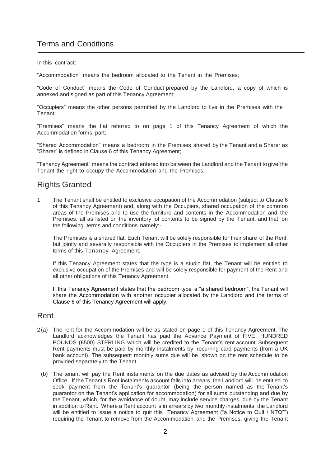# Terms and Conditions

#### In this contract:

"Accommodation" means the bedroom allocated to the Tenant in the Premises;

"Code of Conduct" means the Code of Conduct prepared by the Landlord, a copy of which is annexed and signed as part of this Tenancy Agreement;

"Occupiers" means the other persons permitted by the Landlord to live in the Premises with the Tenant;

"Premises" means the flat referred to on page 1 of this Tenancy Agreement of which the Accommodation forms part;

"Shared Accommodation" means a bedroom in the Premises shared by the Tenant and a Sharer as "Sharer" is defined in Clause 6 of this Tenancy Agreement;

"Tenancy Agreement" means the contract entered into between the Landlord and the Tenant to give the Tenant the right to occupy the Accommodation and the Premises;

# Rights Granted

1 The Tenant shall be entitled to exclusive occupation of the Accommodation (subject to Clause 6 of this Tenancy Agreement) and, along with the Occupiers, shared occupation of the common areas of the Premises and to use the furniture and contents in the Accommodation and the Premises, all as listed on the inventory of contents to be signed by the Tenant, and that on the following terms and conditions namely:-

The Premises is a shared flat. Each Tenant will be solely responsible for their share of the Rent, but jointly and severally responsible with the Occupiers in the Premises to implement all other terms of this Tenancy Agreement.

If this Tenancy Agreement states that the type is a studio flat, the Tenant will be entitled to exclusive occupation of the Premises and will be solely responsible for payment of the Rent and all other obligations of this Tenancy Agreement.

If this Tenancy Agreement states that the bedroom type is "a shared bedroom", the Tenant will share the Accommodation with another occupier allocated by the Landlord and the terms of Clause 6 of this Tenancy Agreement will apply.

### Rent

- 2 (a) The rent for the Accommodation will be as stated on page 1 of this Tenancy Agreement. The Landlord acknowledges the Tenant has paid the Advance Payment of FIVE HUNDRED POUNDS (£500) STERLING which will be credited to the Tenant's rent account. Subsequent Rent payments must be paid by monthly instalments by recurring card payments (from a UK bank account). The subsequent monthly sums due will be shown on the rent schedule to be provided separately to the Tenant.
	- (b) The tenant will pay the Rent instalments on the due dates as advised by the Accommodation Office. If the Tenant's Rent instalments account falls into arrears, the Landlord will be entitled to seek payment from the Tenant's guarantor (being the person named as the Tenant's guarantor on the Tenant's application for accommodation) for all sums outstanding and due by the Tenant, which, for the avoidance of doubt, may include service charges due by the Tenant in addition to Rent. Where a Rent account is in arrears by two monthly instalments, the Landlord will be entitled to issue a notice to quit this Tenancy Agreement ("a Notice to Quit / NTQ"") requiring the Tenant to remove from the Accommodation and the Premises, giving the Tenant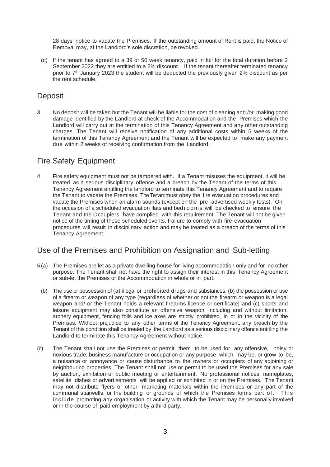28 days' notice to vacate the Premises. If the outstanding amount of Rent is paid, the Notice of Removal may, at the Landlord's sole discretion, be revoked.

(c) If the tenant has agreed to a 39 or 50 week tenancy, paid in full for the total duration before 2 September 2022 they are entitled to a 2% discount. If the tenant thereafter terminated tenancy prior to 7th January 2023 the student will be deducted the previously given 2% discount as per the rent schedule.

### **Deposit**

3 No deposit will be taken but the Tenant will be liable for the cost of cleaning and /or making good damage identified by the Landlord at check of the Accommodation and the Premises which the Landlord will carry out at the termination of this Tenancy Agreement and any other outstanding charges. The Tenant will receive notification of any additional costs within 5 weeks of the termination of this Tenancy Agreement and the Tenant will be expected to make any payment due within 2 weeks of receiving confirmation from the Landlord.

### Fire Safety Equipment

4 Fire safety equipment must not be tampered with. If a Tenant misuses the equipment, it will be treated as a serious disciplinary offence and a breach by the Tenant of the terms of this Tenancy Agreement entitling the landlord to terminate this Tenancy Agreement and to require the Tenant to vacate the Premises. The Tenant must obey the fire evacuation procedures and vacate the Premises when an alarm sounds (except on the pre- advertised weekly tests). On the occasion of a scheduled evacuation flats and bed r o om s will be checked to ensure the Tenant and the Occupiers have complied with this requirement. The Tenant will not be given notice of the timing of these scheduled events. Failure to comply with fire evacuation procedures will result in disciplinary action and may be treated as a breach of the terms of this Tenancy Agreement.

# Use of the Premises and Prohibition on Assignation and Sub-letting

- 5 (a) The Premises are let as a private dwelling house for living accommodation only and for no other purpose. The Tenant shall not have the right to assign their interest in this Tenancy Agreement or sub-let the Premises or the Accommodation in whole or in part.
- (b) The use or possession of (a) illegal or prohibited drugs and substances, (b) the possession or use of a firearm or weapon of any type (regardless of whether or not the firearm or weapon is a legal weapon and/ or the Tenant holds a relevant firearms licence or certificate) and (c) sports and leisure equipment may also constitute an offensive weapon, including and without limitation, archery equipment, fencing foils and ice axes are strictly prohibited, in or in the vicinity of the Premises. Without prejudice to any other terms of the Tenancy Agreement, any breach by the Tenant of this condition shall be treated by the Landlord as a serious disciplinary offence entitling the Landlord to terminate this Tenancy Agreement without notice.
- (c) The Tenant shall not use the Premises or permit them to be used for any offensive, noisy or noxious trade, business manufacture or occupation or any purpose which may be, or grow to be, a nuisance or annoyance or cause disturbance to the owners or occupiers of any adjoining or neighbouring properties. The Tenant shall not use or permit to be used the Premises for any sale by auction, exhibition or public meeting or entertainment. No professional notices, nameplates, satellite dishes or advertisements will be applied or exhibited in or on the Premises. The Tenant may not distribute flyers or other marketing materials within the Premises or any part of the communal stairwells, or the building or grounds of which the Premises forms part of. This include promoting any organisation or activity with which the Tenant may be personally involved or in the course of paid employment by a third party.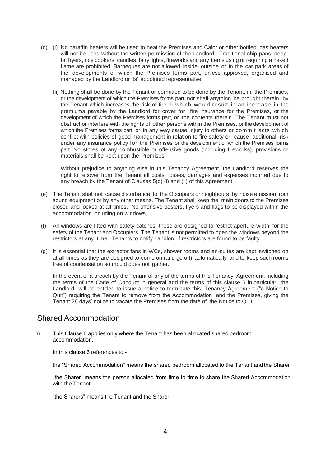- (d) (i) No paraffin heaters will be used to heat the Premises and Calor or other bottled gas heaters will not be used without the written permission of the Landlord. Traditional chip pans, deepfat fryers, rice cookers, candles, fairy lights, fireworks and any items using or requiring a naked flame are prohibited. Barbeques are not allowed inside, outside or in the car park areas of the developments of which the Premises forms part, unless approved, organised and managed by the Landlord or its' appointed representative.
	- (ii) Nothing shall be done by the Tenant or permitted to be done by the Tenant, in the Premises, or the development of which the Premises forms part, nor shall anything be brought therein by the Tenant which increases the risk of fire or which would result in an increase in the premiums payable by the Landlord for cover for fire insurance for the Premises, or the development of which the Premises forms part, or the contents therein. The Tenant must not obstruct or interfere with the rights of other persons within the Premises, or the development of which the Premises forms part, or in any way cause injury to others or commit acts which conflict with policies of good management in relation to fire safety or cause additional risk under any insurance policy for the Premises or the development of which the Premises forms part. No stores of any combustible or offensive goods (including fireworks), provisions or materials shall be kept upon the Premises.

Without prejudice to anything else in this Tenancy Agreement, the Landlord reserves the right to recover from the Tenant all costs, losses, damages and expenses incurred due to any breach by the Tenant of Clauses 5(d) (i) and (ii) of this Agreement.

- (e) The Tenant shall not cause disturbance to the Occupiers or neighbours by noise emission from sound equipment or by any other means. The Tenant shall keep the main doors to the Premises closed and locked at all times. No offensive posters, flyers and flags to be displayed within the accommodation including on windows,
- (f) All windows are fitted with safety catches; these are designed to restrict aperture width for the safety of the Tenant and Occupiers. The Tenant is not permitted to open the windows beyond the restrictors at any time. Tenants to notify Landlord if restrictors are found to be faulty.
- (g) It is essential that the extractor fans in WCs, shower rooms and en-suites are kept switched on at all times as they are designed to come on (and go off) automatically and to keep such rooms free of condensation so mould does not gather.

In the event of a breach by the Tenant of any of the terms of this Tenancy Agreement, including the terms of the Code of Conduct in general and the terms of this clause 5 in particular, the Landlord will be entitled to issue a notice to terminate this Tenancy Agreement ("a Notice to Quit") requiring the Tenant to remove from the Accommodation and the Premises, giving the Tenant 28 days' notice to vacate the Premises from the date of the Notice to Quit.

### Shared Accommodation

6 This Clause 6 applies only where the Tenant has been allocated shared bedroom accommodation.

In this clause 6 references to:-

the "Shared Accommodation" means the shared bedroom allocated to the Tenant and the Sharer

"the Sharer" means the person allocated from time to time to share the Shared Accommodation with the Tenant

"the Sharers" means the Tenant and the Sharer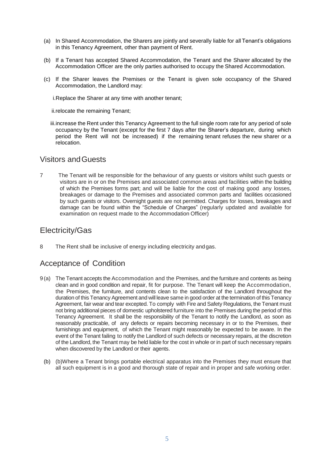- (a) In Shared Accommodation, the Sharers are jointly and severally liable for all Tenant's obligations in this Tenancy Agreement, other than payment of Rent.
- (b) If a Tenant has accepted Shared Accommodation, the Tenant and the Sharer allocated by the Accommodation Officer are the only parties authorised to occupy the Shared Accommodation.
- (c) If the Sharer leaves the Premises or the Tenant is given sole occupancy of the Shared Accommodation, the Landlord may:

i.Replace the Sharer at any time with another tenant;

ii.relocate the remaining Tenant;

iii.increase the Rent under this Tenancy Agreement to the full single room rate for any period of sole occupancy by the Tenant (except for the first 7 days after the Sharer's departure, during which period the Rent will not be increased) if the remaining tenant refuses the new sharer or a relocation.

### Visitors andGuests

7 The Tenant will be responsible for the behaviour of any guests or visitors whilst such guests or visitors are in or on the Premises and associated common areas and facilities within the building of which the Premises forms part; and will be liable for the cost of making good any losses, breakages or damage to the Premises and associated common parts and facilities occasioned by such guests or visitors. Overnight guests are not permitted. Charges for losses, breakages and damage can be found within the "Schedule of Charges" (regularly updated and available for examination on request made to the Accommodation Officer)

### Electricity/Gas

8 The Rent shall be inclusive of energy including electricity andgas.

# Acceptance of Condition

- 9 (a) The Tenant accepts the Accommodation and the Premises, and the furniture and contents as being clean and in good condition and repair, fit for purpose. The Tenant will keep the Accommodation, the Premises, the furniture, and contents clean to the satisfaction of the Landlord throughout the duration of this Tenancy Agreement and will leave same in good order at the termination of this Tenancy Agreement, fair wear and tear excepted. To comply with Fire and Safety Regulations, the Tenant must not bring additional pieces of domestic upholstered furniture into the Premises during the period of this Tenancy Agreement. It shall be the responsibility of the Tenant to notify the Landlord, as soon as reasonably practicable, of any defects or repairs becoming necessary in or to the Premises, their furnishings and equipment, of which the Tenant might reasonably be expected to be aware. In the event of the Tenant failing to notify the Landlord of such defects or necessary repairs, at the discretion of the Landlord, the Tenant may be held liable for the cost in whole or in part of such necessary repairs when discovered by the Landlord or their agents.
	- (b) (b)Where a Tenant brings portable electrical apparatus into the Premises they must ensure that all such equipment is in a good and thorough state of repair and in proper and safe working order.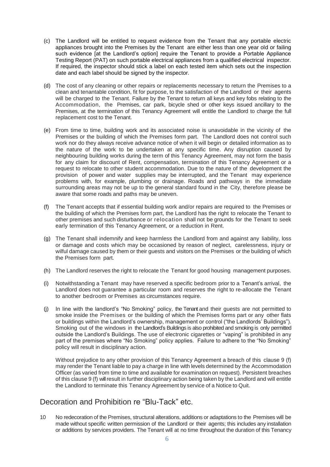- (c) The Landlord will be entitled to request evidence from the Tenant that any portable electric appliances brought into the Premises by the Tenant are either less than one year old or failing such evidence [at the Landlord's option] require the Tenant to provide a Portable Appliance Testing Report (PAT) on such portable electrical appliances from a qualified electrical inspector. If required, the inspector should stick a label on each tested item which sets out the inspection date and each label should be signed by the inspector.
- (d) The cost of any cleaning or other repairs or replacements necessary to return the Premises to a clean and tenantable condition, fit for purpose, to the satisfaction of the Landlord or their agents will be charged to the Tenant. Failure by the Tenant to return all keys and key fobs relating to the Accommodation, the Premises, car park, bicycle shed or other keys issued ancillary to the Premises, at the termination of this Tenancy Agreement will entitle the Landlord to charge the full replacement cost to the Tenant.
- (e) From time to time, building work and its associated noise is unavoidable in the vicinity of the Premises or the building of which the Premises form part. The Landlord does not control such work nor do they always receive advance notice of when it will begin or detailed information as to the nature of the work to be undertaken at any specific time. Any disruption caused by neighbouring building works during the term of this Tenancy Agreement, may not form the basis for any claim for discount of Rent, compensation, termination of this Tenancy Agreement or a request to relocate to other student accommodation. Due to the nature of the development the provision of power and water supplies may be interrupted, and the Tenant may experience problems with, for example, plumbing or drainage. Roads and pathways in the immediate surrounding areas may not be up to the general standard found in the City, therefore please be aware that some roads and paths may be uneven.
- (f) The Tenant accepts that if essential building work and/or repairs are required to the Premises or the building of which the Premises form part, the Landlord has the right to relocate the Tenant to other premises and such disturbance or relocation shall not be grounds for the Tenant to seek early termination of this Tenancy Agreement, or a reduction in Rent.
- (g) The Tenant shall indemnify and keep harmless the Landlord from and against any liability, loss or damage and costs which may be occasioned by reason of neglect, carelessness, injury or wilful damage caused by them or their guests and visitors on the Premises or the building of which the Premises form part.
- (h) The Landlord reserves the right to relocate the Tenant for good housing management purposes.
- (i) Notwithstanding a Tenant may have reserved a specific bedroom prior to a Tenant's arrival, the Landlord does not guarantee a particular room and reserves the right to re-allocate the Tenant to another bedroom or Premises as circumstances require.
- (j) In line with the landlord's "No Smoking" policy, the Tenant and their guests are not permitted to smoke inside the Premises or the building of which the Premises forms part or any other flats or buildings within the Landlord's ownership, management or control ("the Landlords' Buildings"). Smoking out of the windows in the Landlord's Buildings is also prohibited and smoking is only permitted outside the Landlord's Buildings. The use of electronic cigarettes or "vaping" is prohibited in any part of the premises where "No Smoking" policy applies. Failure to adhere to the "No Smoking" policy will result in disciplinary action.

Without prejudice to any other provision of this Tenancy Agreement a breach of this clause 9 (f) may render the Tenant liable to pay a charge in line with levels determined by the Accommodation Officer (as varied from time to time and available for examination on request). Persistent breaches of this clause 9 (f) will result in further disciplinary action being taken by the Landlord and will entitle the Landlord to terminate this Tenancy Agreement by service of a Notice to Quit.

### Decoration and Prohibition re "Blu-Tack" etc.

10 No redecoration of the Premises, structural alterations, additions or adaptations to the Premises will be made without specific written permission of the Landlord or their agents; this includes any installation or additions by services providers. The Tenant will at no time throughout the duration of this Tenancy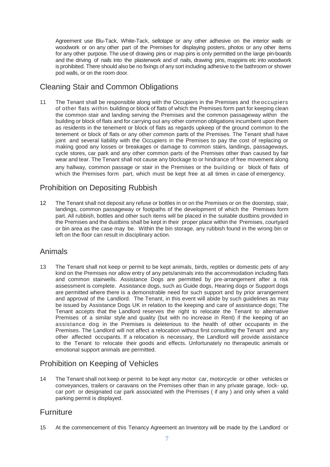Agreement use Blu-Tack, White-Tack, sellotape or any other adhesive on the interior walls or woodwork or on any other part of the Premises for displaying posters, photos or any other items for any other purpose. The use of drawing pins or map pins is only permitted on the large pin-boards and the driving of nails into the plasterwork and of nails, drawing pins, mappins etc into woodwork is prohibited. There should also be no fixings of any sort including adhesive to the bathroom or shower pod walls, or on the room door.

# Cleaning Stair and Common Obligations

11 The Tenant shall be responsible along with the Occupiers in the Premises and the occupiers of other flats within building or block of flats of which the Premises form part for keeping clean the common stair and landing serving the Premises and the common passageway within the building or block of flats and for carrying out any other common obligations incumbent upon them as residents in the tenement or block of flats as regards upkeep of the ground common to the tenement or block of flats or any other common parts of the Premises. The Tenant shall have joint and several liability with the Occupiers in the Premises to pay the cost of replacing or making good any losses or breakages or damage to common stairs, landings, passageways, cycle stores, car park and any other common parts of the Premises other than caused by fair wear and tear. The Tenant shall not cause any blockage to or hindrance of free movement along any hallway, common passage or stair in the Premises or the building or block of flats of which the Premises form part, which must be kept free at all times in case of emergency.

# Prohibition on Depositing Rubbish

12 The Tenant shall not deposit any refuse or bottles in or on the Premises or on the doorstep, stair, landings, common passageway or footpaths of the development of which the Premises form part. All rubbish, bottles and other such items will be placed in the suitable dustbins provided in the Premises and the dustbins shall be kept in their proper place within the Premises, courtyard or bin area as the case may be. Within the bin storage, any rubbish found in the wrong bin or left on the floor can result in disciplinary action.

### Animals

13 The Tenant shall not keep or permit to be kept animals, birds, reptiles or domestic pets of any kind on the Premises nor allow entry of any pets/animals into the accommodation including flats and common stairwells. Assistance Dogs are permitted by pre-arrangement after a risk assessment is complete. Assistance dogs, such as Guide dogs, Hearing dogs or Support dogs are permitted where there is a demonstrable need for such support and by prior arrangement and approval of the Landlord. The Tenant, in this event will abide by such guidelines as may be issued by Assistance Dogs UK in relation to the keeping and care of assistance dogs; The Tenant accepts that the Landlord reserves the right to relocate the Tenant to alternative Premises of a similar style and quality (but with no increase in Rent) if the keeping of an assistance dog in the Premises is deleterious to the health of other occupants in the Premises. The Landlord will not affect a relocation without first consulting the Tenant and any other affected occupants. If a relocation is necessary, the Landlord will provide assistance to the Tenant to relocate their goods and effects. Unfortunately no therapeutic animals or emotional support animals are permitted.

# Prohibition on Keeping of Vehicles

14 The Tenant shall not keep or permit to be kept any motor car, motorcycle or other vehicles or conveyances, trailers or caravans on the Premises other than in any private garage, lock- up, car port or designated car park associated with the Premises ( if any ) and only when a valid parking permit is displayed.

# **Furniture**

15 At the commencement of this Tenancy Agreement an Inventory will be made by the Landlord or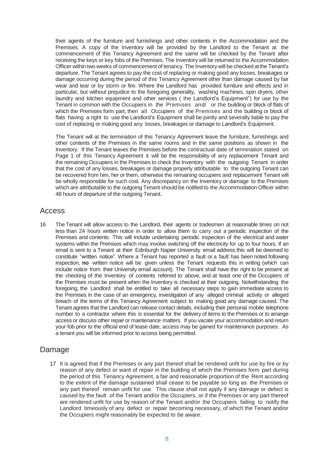their agents of the furniture and furnishings and other contents in the Accommodation and the Premises. A copy of the Inventory will be provided by the Landlord to the Tenant at the commencement of this Tenancy Agreement and the same will be checked by the Tenant after receiving the keys or key fobs of the Premises. The Inventory will be returned to the Accommodation Officer within two weeks of commencement of tenancy. The Inventory will be checked atthe Tenant's departure. The Tenant agrees to pay the cost of replacing or making good any losses, breakages or damage occurring during the period of this Tenancy Agreement other than damage caused by fair wear and tear or by storm or fire. Where the Landlord has provided furniture and effects and in particular, but without prejudice to the foregoing generality, washing machines, spin dryers, other laundry and kitchen equipment and other services ( the Landlord's Equipment") for use by the Tenant in common with the Occupiers in the Premises and/ or the building or block of flats of which the Premises form part, then all Occupiers of the Premises and the building or block of flats having a right to use the Landlord's Equipment shall be jointly and severally liable to pay the cost of replacing or making good any losses, breakages or damage to Landlord's Equipment.

The Tenant will at the termination of this Tenancy Agreement leave the furniture, furnishings and other contents of the Premises in the same rooms and in the same positions as shown in the Inventory. If the Tenant leaves the Premises before the contractual date of termination stated on Page 1 of this Tenancy Agreement it will be the responsibility of any replacement Tenant and the remaining Occupiers in the Premises to check the Inventory with the outgoing Tenant in order that the cost of any losses, breakages or damage properly attributable to the outgoing Tenant can be recovered from him, her or them, otherwise the remaining occupiers and replacement Tenant will be wholly responsible for such cost. Any discrepancy on the Inventory or damage to the Premises which are attributable to the outgoing Tenant should be notified to the Accommodation Officer within 48 hours of departure of the outgoing Tenant.

### Access

16 The Tenant will allow access to the Landlord, their agents or tradesmen at reasonable times on not less than 24 hours written notice in order to allow them to carry out a periodic inspection of the Premises and contents. This will include undertaking periodic inspection of the electrical and water systems within the Premises which may involve switching off the electricity for up to four hours. If an email is sent to a Tenant at their Edinburgh Napier University email address this will be deemed to constitute "written notice". Where a Tenant has reported a fault or a fault has been noted following inspection, **no** written notice will be given unless the Tenant requests this in writing (which can include notice from their University email account). The Tenant shall have the right to be present at the checking of the Inventory of contents referred to above, and at least one of the Occupiers of the Premises must be present when the Inventory is checked at their outgoing. Notwithstanding the foregoing, the Landlord shall be entitled to take all necessary steps to gain immediate access to the Premises in the case of an emergency, investigation of any alleged criminal activity or alleged breach of the terms of this Tenancy Agreement subject to making good any damage caused. The Tenant agrees that the Landlord can release contact details, including their personal mobile telephone number to a contractor where this is essential for the delivery of items to the Premises or to arrange access or discuss other repair or maintenance matters. If you vacate your accommodation and return your fob prior to the official end of lease date, access may be gained for maintenance purposes. As a tenant you will be informed prior to access being permitted.

### Damage

17 It is agreed that if the Premises or any part thereof shall be rendered unfit for use by fire or by reason of any defect or want of repair in the building of which the Premises form part during the period of this Tenancy Agreement, a fair and reasonable proportion of the Rent according to the extent of the damage sustained shall cease to be payable so long as the Premises or any part thereof remain unfit for use. This clause shall not apply if any damage or defect is caused by the fault of the Tenant and/or the Occupiers, or if the Premises or any part thereof are rendered unfit for use by reason of the Tenant and/or the Occupiers failing to notify the Landlord timeously of any defect or repair becoming necessary, of which the Tenant and/or the Occupiers might reasonably be expected to be aware.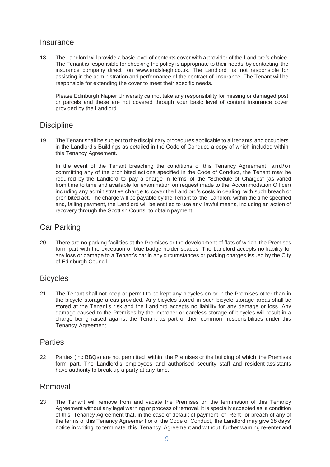### **Insurance**

18 The Landlord will provide a basic level of contents cover with a provider of the Landlord's choice. The Tenant is responsible for checking the policy is appropriate to their needs by contacting the insurance company direct on www.endsleigh.co.uk. The Landlord is not responsible for assisting in the administration and performance of the contract of insurance. The Tenant will be responsible for extending the cover to meet their specific needs.

Please Edinburgh Napier University cannot take any responsibility for missing or damaged post or parcels and these are not covered through your basic level of content insurance cover provided by the Landlord.

### **Discipline**

19 The Tenant shall be subject to the disciplinary procedures applicable to all tenants and occupiers in the Landlord's Buildings as detailed in the Code of Conduct, a copy of which included within this Tenancy Agreement.

In the event of the Tenant breaching the conditions of this Tenancy Agreement and/or committing any of the prohibited actions specified in the Code of Conduct, the Tenant may be required by the Landlord to pay a charge in terms of the "Schedule of Charges" (as varied from time to time and available for examination on request made to the Accommodation Officer) including any administrative charge to cover the Landlord's costs in dealing with such breach or prohibited act. The charge will be payable by the Tenant to the Landlord within the time specified and, failing payment, the Landlord will be entitled to use any lawful means, including an action of recovery through the Scottish Courts, to obtain payment.

# Car Parking

20 There are no parking facilities at the Premises or the development of flats of which the Premises form part with the exception of blue badge holder spaces. The Landlord accepts no liability for any loss or damage to a Tenant's car in any circumstances or parking charges issued by the City of Edinburgh Council.

# **Bicycles**

21 The Tenant shall not keep or permit to be kept any bicycles on or in the Premises other than in the bicycle storage areas provided. Any bicycles stored in such bicycle storage areas shall be stored at the Tenant's risk and the Landlord accepts no liability for any damage or loss. Any damage caused to the Premises by the improper or careless storage of bicycles will result in a charge being raised against the Tenant as part of their common responsibilities under this Tenancy Agreement.

# **Parties**

22 Parties (inc BBQs) are not permitted within the Premises or the building of which the Premises form part. The Landlord's employees and authorised security staff and resident assistants have authority to break up a party at any time.

# Removal

23 The Tenant will remove from and vacate the Premises on the termination of this Tenancy Agreement without any legal warning or process of removal. It is specially accepted as a condition of this Tenancy Agreement that, in the case of default of payment of Rent or breach of any of the terms of this Tenancy Agreement or of the Code of Conduct, the Landlord may give 28 days' notice in writing to terminate this Tenancy Agreement and without further warning re-enter and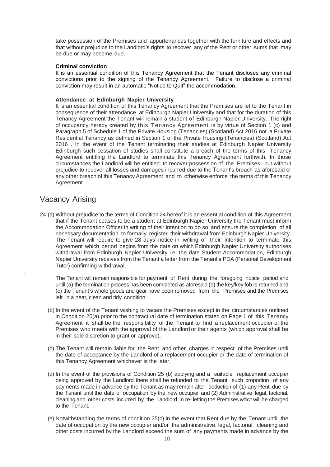take possession of the Premises and appurtenances together with the furniture and effects and that without prejudice to the Landlord's rights to recover any of the Rent or other sums that may be due or may become due.

#### **Criminal conviction**

It is an essential condition of this Tenancy Agreement that the Tenant discloses any criminal convictions prior to the signing of the Tenancy Agreement. Failure to disclose a criminal conviction may result in an automatic "Notice to Quit" the accommodation.

#### **Attendance at Edinburgh Napier University**

It is an essential condition of this Tenancy Agreement that the Premises are let to the Tenant in consequence of their attendance at Edinburgh Napier University and that for the duration of this Tenancy Agreement the Tenant will remain a student of Edinburgh Napier University. The right of occupancy hereby created by this Tenancy Agreement is by virtue of Section 1 (c) and Paragraph 5 of Schedule 1 of the Private Housing (Tenancies) (Scotland) Act 2016 not a Private Residential Tenancy as defined in Section 1 of the Private Housing (Tenancies) (Scotland) Act 2016 . In the event of the Tenant terminating their studies at Edinburgh Napier University Edinburgh such cessation of studies shall constitute a breach of the terms of this Tenancy Agreement entitling the Landlord to terminate this Tenancy Agreement forthwith. In those circumstances the Landlord will be entitled to recover possession of the Premises but without prejudice to recover all losses and damages incurred due to the Tenant's breach as aforesaid or any other breach of this Tenancy Agreement and to otherwise enforce the terms of this Tenancy Agreement.

### Vacancy Arising

.

24 (a) Without prejudice to the terms of Condition 24 hereof it is an essential condition of this Agreement that if the Tenant ceases to be a student at Edinburgh Napier University the Tenant must inform the Accommodation Officer in writing of their intention to do so and ensure the completion of all necessary documentation to formally register their withdrawal from Edinburgh Napier University. The Tenant will require to give 28 days' notice in writing of their intention to terminate this Agreement which period begins from the date on which Edinburgh Napier University authorises withdrawal from Edinburgh Napier University i.e. the date Student Accommodation, Edinburgh Napier University receives from the Tenant a letter from the Tenant's PDA (Personal Development Tutor) confirming withdrawal.

The Tenant will remain responsible for payment of Rent during the foregoing notice period and until (a) the termination process has been completed as aforesaid (b) the key/key fob is returned and (c) the Tenant's whole goods and gear have been removed from the Premises and the Premises left in a neat, clean and tidy condition.

- (b) In the event of the Tenant wishing to vacate the Premises except in the circumstances outlined in Condition 25(a) prior to the contractual date of termination stated on Page 1 of this Tenancy Agreement it shall be the responsibility of the Tenant to find a replacement occupier of the Premises who meets with the approval of the Landlord or their agents (which approval shall be in their sole discretion to grant or approve).
- (c) The Tenant will remain liable for the Rent and other charges in respect of the Premises until the date of acceptance by the Landlord of a replacement occupier or the date of termination of this Tenancy Agreement whichever is the later.
- (d) In the event of the provisions of Condition 25 (b) applying and a suitable replacement occupier being approved by the Landlord there shall be refunded to the Tenant such proportion of any payments made in advance by the Tenant as may remain after deduction of (1) any Rent due by the Tenant until the date of occupation by the new occupier and (2) Administrative, legal, factorial, cleaning and other costs incurred by the Landlord in re- letting the Premises which will be charged to the Tenant.
- (e) Notwithstanding the terms of condition 25(c) in the event that Rent due by the Tenant until the date of occupation by the new occupier and/or the administrative, legal, factorial, cleaning and other costs incurred by the Landlord exceed the sum of any payments made in advance by the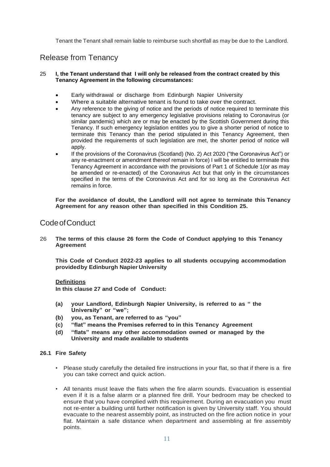Tenant the Tenant shall remain liable to reimburse such shortfall as may be due to the Landlord.

# Release from Tenancy

#### 25 **I, the Tenant understand that I will only be released from the contract created by this Tenancy Agreement in the following circumstances:**

- Early withdrawal or discharge from Edinburgh Napier University
- Where a suitable alternative tenant is found to take over the contract.
- Any reference to the giving of notice and the periods of notice required to terminate this tenancy are subject to any emergency legislative provisions relating to Coronavirus (or similar pandemic) which are or may be enacted by the Scottish Government during this Tenancy. If such emergency legislation entitles you to give a shorter period of notice to terminate this Tenancy than the period stipulated in this Tenancy Agreement, then provided the requirements of such legislation are met, the shorter period of notice will apply.
- If the provisions of the Coronavirus (Scotland) (No. 2) Act 2020 ("the Coronavirus Act") or any re-enactment or amendment thereof remain in force) I will be entitled to terminate this Tenancy Agreement in accordance with the provisions of Part 1 of Schedule 1(or as may be amended or re-enacted) of the Coronavirus Act but that only in the circumstances specified in the terms of the Coronavirus Act and for so long as the Coronavirus Act remains in force.

**For the avoidance of doubt, the Landlord will not agree to terminate this Tenancy Agreement for any reason other than specified in this Condition 25.**

### CodeofConduct

26 **The terms of this clause 26 form the Code of Conduct applying to this Tenancy Agreement**

**This Code of Conduct 2022-23 applies to all students occupying accommodation providedby Edinburgh Napier University**

#### **Definitions**

**In this clause 27 and Code of Conduct:**

- **(a) your Landlord, Edinburgh Napier University, is referred to as " the University" or "we";**
- **(b) you, as Tenant, are referred to as "you"**
- **(c) "flat" means the Premises referred to in this Tenancy Agreement**
- **(d) "flats" means any other accommodation owned or managed by the University and made available to students**

#### **26.1 Fire Safety**

- Please study carefully the detailed fire instructions in your flat, so that if there is a fire you can take correct and quick action.
- All tenants must leave the flats when the fire alarm sounds. Evacuation is essential even if it is a false alarm or a planned fire drill. Your bedroom may be checked to ensure that you have complied with this requirement. During an evacuation you must not re-enter a building until further notification is given by University staff. You should evacuate to the nearest assembly point, as instructed on the fire action notice in your flat. Maintain a safe distance when department and assembling at fire assembly points.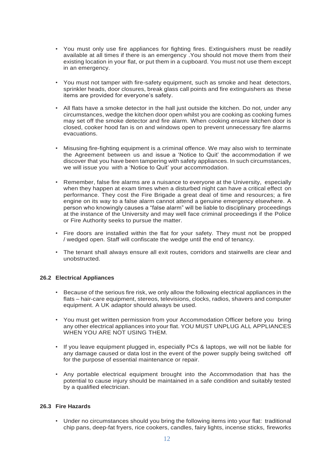- You must only use fire appliances for fighting fires. Extinguishers must be readily available at all times if there is an emergency .You should not move them from their existing location in your flat, or put them in a cupboard. You must not use them except in an emergency.
- You must not tamper with fire-safety equipment, such as smoke and heat detectors, sprinkler heads, door closures, break glass call points and fire extinguishers as these items are provided for everyone's safety.
- All flats have a smoke detector in the hall just outside the kitchen. Do not, under any circumstances, wedge the kitchen door open whilst you are cooking as cooking fumes may set off the smoke detector and fire alarm. When cooking ensure kitchen door is closed, cooker hood fan is on and windows open to prevent unnecessary fire alarms evacuations.
- Misusing fire-fighting equipment is a criminal offence. We may also wish to terminate the Agreement between us and issue a 'Notice to Quit' the accommodation if we discover that you have been tampering with safety appliances. In such circumstances, we will issue you with a 'Notice to Quit' your accommodation.
- Remember, false fire alarms are a nuisance to everyone at the University, especially when they happen at exam times when a disturbed night can have a critical effect on performance. They cost the Fire Brigade a great deal of time and resources; a fire engine on its way to a false alarm cannot attend a genuine emergency elsewhere. A person who knowingly causes a "false alarm" will be liable to disciplinary proceedings at the instance of the University and may well face criminal proceedings if the Police or Fire Authority seeks to pursue the matter.
- Fire doors are installed within the flat for your safety. They must not be propped / wedged open. Staff will confiscate the wedge until the end of tenancy.
- The tenant shall always ensure all exit routes, corridors and stairwells are clear and unobstructed.

#### **26.2 Electrical Appliances**

- Because of the serious fire risk, we only allow the following electrical appliances in the flats – hair-care equipment, stereos, televisions, clocks, radios, shavers and computer equipment. A UK adaptor should always be used.
- You must get written permission from your Accommodation Officer before you bring any other electrical appliances into your flat. YOU MUST UNPLUG ALL APPLIANCES WHEN YOU ARE NOT USING THEM.
- If you leave equipment plugged in, especially PCs & laptops, we will not be liable for any damage caused or data lost in the event of the power supply being switched off for the purpose of essential maintenance or repair.
- Any portable electrical equipment brought into the Accommodation that has the potential to cause injury should be maintained in a safe condition and suitably tested by a qualified electrician.

#### **26.3 Fire Hazards**

• Under no circumstances should you bring the following items into your flat: traditional chip pans, deep-fat fryers, rice cookers, candles, fairy lights, incense sticks, fireworks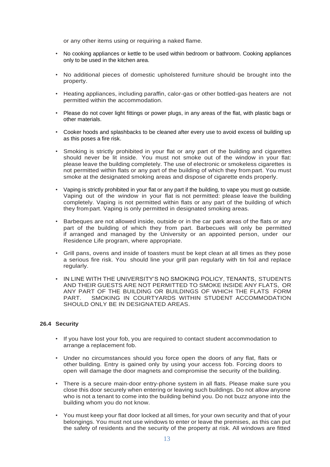or any other items using or requiring a naked flame.

- No cooking appliances or kettle to be used within bedroom or bathroom. Cooking appliances only to be used in the kitchen area.
- No additional pieces of domestic upholstered furniture should be brought into the property.
- Heating appliances, including paraffin, calor-gas or other bottled-gas heaters are not permitted within the accommodation.
- Please do not cover light fittings or power plugs, in any areas of the flat, with plastic bags or other materials.
- Cooker hoods and splashbacks to be cleaned after every use to avoid excess oil building up as this poses a fire risk.
- Smoking is strictly prohibited in your flat or any part of the building and cigarettes should never be lit inside. You must not smoke out of the window in your flat: please leave the building completely. The use of electronic or smokeless cigarettes is not permitted within flats or any part of the building of which they from part. You must smoke at the designated smoking areas and dispose of cigarette ends properly.
- Vaping is strictly prohibited in your flat or any part if the building, to vape you must go outside. Vaping out of the window in your flat is not permitted: please leave the building completely. Vaping is not permitted within flats or any part of the building of which they frompart. Vaping is only permitted in designated smoking areas.
- Barbeques are not allowed inside, outside or in the car park areas of the flats or any part of the building of which they from part. Barbecues will only be permitted if arranged and managed by the University or an appointed person, under our Residence Life program, where appropriate.
- Grill pans, ovens and inside of toasters must be kept clean at all times as they pose a serious fire risk. You should line your grill pan regularly with tin foil and replace regularly.
- IN LINE WITH THE UNIVERSITY'S NO SMOKING POLICY, TENANTS, STUDENTS AND THEIR GUESTS ARE NOT PERMITTED TO SMOKE INSIDE ANY FLATS, OR ANY PART OF THE BUILDING OR BUILDINGS OF WHICH THE FLATS FORM<br>PART SMOKING IN COURTYARDS WITHIN STUDENT ACCOMMODATION SMOKING IN COURTYARDS WITHIN STUDENT ACCOMMODATION SHOULD ONLY BE IN DESIGNATED AREAS.

#### **26.4 Security**

- If you have lost your fob, you are required to contact student accommodation to arrange a replacement fob.
- Under no circumstances should you force open the doors of any flat, flats or other building. Entry is gained only by using your access fob. Forcing doors to open will damage the door magnets and compromise the security of the building.
- There is a secure main-door entry-phone system in all flats. Please make sure you close this door securely when entering or leaving such buildings. Do not allow anyone who is not a tenant to come into the building behind you. Do not buzz anyone into the building whom you do not know.
- You must keep your flat door locked at all times, for your own security and that of your belongings. You must not use windows to enter or leave the premises, as this can put the safety of residents and the security of the property at risk. All windows are fitted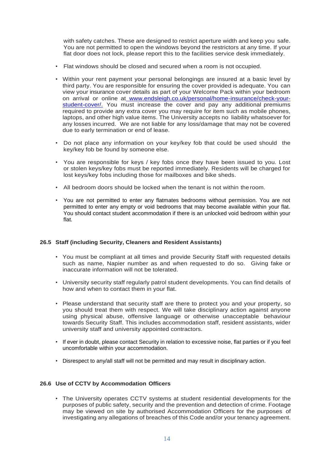with safety catches. These are designed to restrict aperture width and keep you safe. You are not permitted to open the windows beyond the restrictors at any time. If your flat door does not lock, please report this to the facilities service desk immediately.

- Flat windows should be closed and secured when a room is not occupied.
- Within your rent payment your personal belongings are insured at a basic level by third party. You are responsible for ensuring the cover provided is adequate. You can view your insurance cover details as part of your Welcome Pack within your bedroom on arrival or online at www.endsleigh.co.uk/personal/home-insurance/check-yourstudent-cover/. You must increase the cover and pay any additional premiums required to provide any extra cover you may require for item such as mobile phones, laptops, and other high value items. The University accepts no liability whatsoever for any losses incurred. We are not liable for any loss/damage that may not be covered due to early termination or end of lease.
- Do not place any information on your key/key fob that could be used should the key/key fob be found by someone else.
- You are responsible for keys / key fobs once they have been issued to you. Lost or stolen keys/key fobs must be reported immediately. Residents will be charged for lost keys/key fobs including those for mailboxes and bike sheds.
- All bedroom doors should be locked when the tenant is not within theroom.
- You are not permitted to enter any flatmates bedrooms without permission. You are not permitted to enter any empty or void bedrooms that may become available within your flat. You should contact student accommodation if there is an unlocked void bedroom within your flat.

#### **26.5 Staff (including Security, Cleaners and Resident Assistants)**

- You must be compliant at all times and provide Security Staff with requested details such as name, Napier number as and when requested to do so. Giving fake or inaccurate information will not be tolerated.
- University security staff regularly patrol student developments. You can find details of how and when to contact them in your flat.
- Please understand that security staff are there to protect you and your property, so you should treat them with respect. We will take disciplinary action against anyone using physical abuse, offensive language or otherwise unacceptable behaviour towards Security Staff. This includes accommodation staff, resident assistants, wider university staff and university appointed contractors.
- If ever in doubt, please contact Security in relation to excessive noise, flat parties or if you feel uncomfortable within your accommodation.
- Disrespect to any/all staff will not be permitted and may result in disciplinary action.

#### **26.6 Use of CCTV by Accommodation Officers**

• The University operates CCTV systems at student residential developments for the purposes of public safety, security and the prevention and detection of crime. Footage may be viewed on site by authorised Accommodation Officers for the purposes of investigating any allegations of breaches of this Code and/or your tenancy agreement.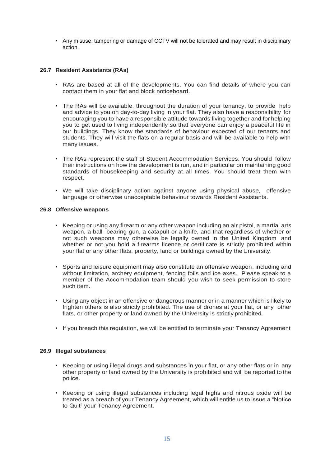• Any misuse, tampering or damage of CCTV will not be tolerated and may result in disciplinary action.

#### **26.7 Resident Assistants (RAs)**

- RAs are based at all of the developments. You can find details of where you can contact them in your flat and block noticeboard.
- The RAs will be available, throughout the duration of your tenancy, to provide help and advice to you on day-to-day living in your flat. They also have a responsibility for encouraging you to have a responsible attitude towards living together and for helping you to get used to living independently so that everyone can enjoy a peaceful life in our buildings. They know the standards of behaviour expected of our tenants and students. They will visit the flats on a regular basis and will be available to help with many issues.
- The RAs represent the staff of Student Accommodation Services. You should follow their instructions on how the development is run, and in particular on maintaining good standards of housekeeping and security at all times. You should treat them with respect.
- We will take disciplinary action against anyone using physical abuse, offensive language or otherwise unacceptable behaviour towards Resident Assistants.

#### **26.8 Offensive weapons**

- Keeping or using any firearm or any other weapon including an air pistol, a martial arts weapon, a ball- bearing gun, a catapult or a knife, and that regardless of whether or not such weapons may otherwise be legally owned in the United Kingdom and whether or not you hold a firearms licence or certificate is strictly prohibited within your flat or any other flats, property, land or buildings owned by the University.
- Sports and leisure equipment may also constitute an offensive weapon, including and without limitation, archery equipment, fencing foils and ice axes. Please speak to a member of the Accommodation team should you wish to seek permission to store such item.
- Using any object in an offensive or dangerous manner or in a manner which is likely to frighten others is also strictly prohibited. The use of drones at your flat, or any other flats, or other property or land owned by the University is strictly prohibited.
- If you breach this regulation, we will be entitled to terminate your Tenancy Agreement

#### **26.9 Illegal substances**

- Keeping or using illegal drugs and substances in your flat, or any other flats or in any other property or land owned by the University is prohibited and will be reported to the police.
- Keeping or using illegal substances including legal highs and nitrous oxide will be treated as a breach of your Tenancy Agreement, which will entitle us to issue a "Notice to Quit" your Tenancy Agreement.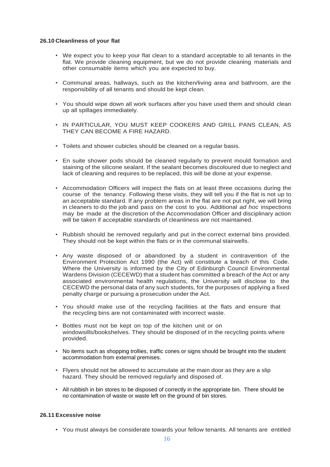#### **26.10 Cleanliness of your flat**

- We expect you to keep your flat clean to a standard acceptable to all tenants in the flat. We provide cleaning equipment, but we do not provide cleaning materials and other consumable items which you are expected to buy.
- Communal areas, hallways, such as the kitchen/living area and bathroom, are the responsibility of all tenants and should be kept clean.
- You should wipe down all work surfaces after you have used them and should clean up all spillages immediately.
- IN PARTICULAR, YOU MUST KEEP COOKERS AND GRILL PANS CLEAN, AS THEY CAN BECOME A FIRE HAZARD.
- Toilets and shower cubicles should be cleaned on a regular basis.
- En suite shower pods should be cleaned regularly to prevent mould formation and staining of the silicone sealant. If the sealant becomes discoloured due to neglect and lack of cleaning and requires to be replaced, this will be done at your expense.
- Accommodation Officers will inspect the flats on at least three occasions during the course of the tenancy. Following these visits, they will tell you if the flat is not up to an acceptable standard. If any problem areas in the flat are not put right, we will bring in cleaners to do the job and pass on the cost to you. Additional *ad hoc* inspections may be made at the discretion of the Accommodation Officer and disciplinary action will be taken if acceptable standards of cleanliness are not maintained.
- Rubbish should be removed regularly and put in the correct external bins provided. They should not be kept within the flats or in the communal stairwells.
- Any waste disposed of or abandoned by a student in contravention of the Environment Protection Act 1990 (the Act) will constitute a breach of this Code. Where the University is informed by the City of Edinburgh Council Environmental Wardens Division (CECEWD) that a student has committed a breach of the Act or any associated environmental health regulations, the University will disclose to the CECEWD the personal data of any such students, for the purposes of applying a fixed penalty charge or pursuing a prosecution under the Act.
- You should make use of the recycling facilities at the flats and ensure that the recycling bins are not contaminated with incorrect waste.
- Bottles must not be kept on top of the kitchen unit or on windowsills/bookshelves. They should be disposed of in the recycling points where provided.
- No items such as shopping trollies, traffic cones or signs should be brought into the student accommodation from external premises.
- Flyers should not be allowed to accumulate at the main door as they are a slip hazard. They should be removed regularly and disposed of.
- All rubbish in bin stores to be disposed of correctly in the appropriate bin. There should be no contamination of waste or waste left on the ground of bin stores.

#### **26.11 Excessive noise**

• You must always be considerate towards your fellow tenants. All tenants are entitled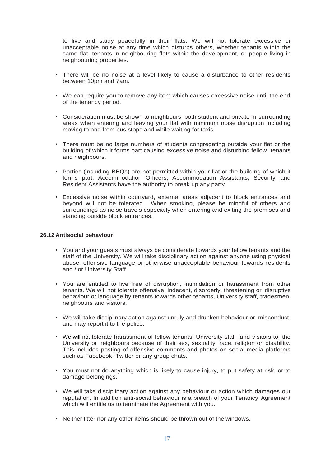to live and study peacefully in their flats. We will not tolerate excessive or unacceptable noise at any time which disturbs others, whether tenants within the same flat, tenants in neighbouring flats within the development, or people living in neighbouring properties.

- There will be no noise at a level likely to cause a disturbance to other residents between 10pm and 7am.
- We can require you to remove any item which causes excessive noise until the end of the tenancy period.
- Consideration must be shown to neighbours, both student and private in surrounding areas when entering and leaving your flat with minimum noise disruption including moving to and from bus stops and while waiting for taxis.
- There must be no large numbers of students congregating outside your flat or the building of which it forms part causing excessive noise and disturbing fellow tenants and neighbours.
- Parties (including BBQs) are not permitted within your flat or the building of which it forms part. Accommodation Officers, Accommodation Assistants, Security and Resident Assistants have the authority to break up any party.
- Excessive noise within courtyard, external areas adjacent to block entrances and beyond will not be tolerated. When smoking, please be mindful of others and surroundings as noise travels especially when entering and exiting the premises and standing outside block entrances.

#### **26.12 Antisocial behaviour**

- You and your guests must always be considerate towards your fellow tenants and the staff of the University. We will take disciplinary action against anyone using physical abuse, offensive language or otherwise unacceptable behaviour towards residents and / or University Staff.
- You are entitled to live free of disruption, intimidation or harassment from other tenants. We will not tolerate offensive, indecent, disorderly, threatening or disruptive behaviour or language by tenants towards other tenants, University staff, tradesmen, neighbours and visitors.
- We will take disciplinary action against unruly and drunken behaviour or misconduct, and may report it to the police.
- We will not tolerate harassment of fellow tenants, University staff, and visitors to the University or neighbours because of their sex, sexuality, race, religion or disability. This includes posting of offensive comments and photos on social media platforms such as Facebook, Twitter or any group chats.
- You must not do anything which is likely to cause injury, to put safety at risk, or to damage belongings.
- We will take disciplinary action against any behaviour or action which damages our reputation. In addition anti-social behaviour is a breach of your Tenancy Agreement which will entitle us to terminate the Agreement with you.
- Neither litter nor any other items should be thrown out of the windows.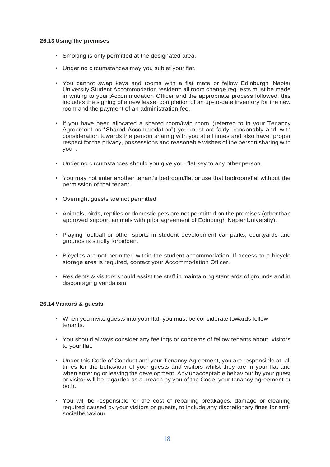#### **26.13 Using the premises**

- Smoking is only permitted at the designated area.
- Under no circumstances may you sublet your flat.
- You cannot swap keys and rooms with a flat mate or fellow Edinburgh Napier University Student Accommodation resident; all room change requests must be made in writing to your Accommodation Officer and the appropriate process followed, this includes the signing of a new lease, completion of an up-to-date inventory for the new room and the payment of an administration fee.
- If you have been allocated a shared room/twin room, (referred to in your Tenancy Agreement as "Shared Accommodation") you must act fairly, reasonably and with consideration towards the person sharing with you at all times and also have proper respect for the privacy, possessions and reasonable wishes of the person sharing with you .
- Under no circumstances should you give your flat key to any other person.
- You may not enter another tenant's bedroom/flat or use that bedroom/flat without the permission of that tenant.
- Overnight guests are not permitted.
- Animals, birds, reptiles or domestic pets are not permitted on the premises (other than approved support animals with prior agreement of Edinburgh Napier University).
- Playing football or other sports in student development car parks, courtyards and grounds is strictly forbidden.
- Bicycles are not permitted within the student accommodation. If access to a bicycle storage area is required, contact your Accommodation Officer.
- Residents & visitors should assist the staff in maintaining standards of grounds and in discouraging vandalism.

#### **26.14 Visitors & guests**

- When you invite guests into your flat, you must be considerate towards fellow tenants.
- You should always consider any feelings or concerns of fellow tenants about visitors to your flat.
- Under this Code of Conduct and your Tenancy Agreement, you are responsible at all times for the behaviour of your guests and visitors whilst they are in your flat and when entering or leaving the development. Any unacceptable behaviour by your guest or visitor will be regarded as a breach by you of the Code, your tenancy agreement or both.
- You will be responsible for the cost of repairing breakages, damage or cleaning required caused by your visitors or guests, to include any discretionary fines for antisocialbehaviour.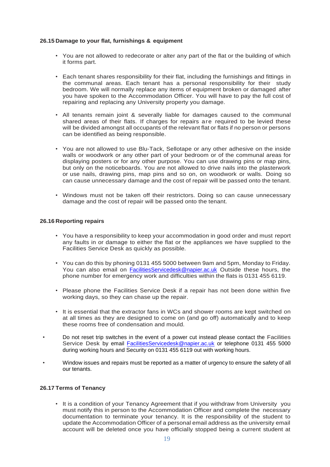#### **26.15 Damage to your flat, furnishings & equipment**

- You are not allowed to redecorate or alter any part of the flat or the building of which it forms part.
- Each tenant shares responsibility for their flat, including the furnishings and fittings in the communal areas. Each tenant has a personal responsibility for their study bedroom. We will normally replace any items of equipment broken or damaged after you have spoken to the Accommodation Officer. You will have to pay the full cost of repairing and replacing any University property you damage.
- All tenants remain joint & severally liable for damages caused to the communal shared areas of their flats. If charges for repairs are required to be levied these will be divided amongst all occupants of the relevant flat or flats if no person or persons can be identified as being responsible.
- You are not allowed to use Blu-Tack, Sellotape or any other adhesive on the inside walls or woodwork or any other part of your bedroom or of the communal areas for displaying posters or for any other purpose. You can use drawing pins or map pins, but only on the noticeboards. You are not allowed to drive nails into the plasterwork or use nails, drawing pins, map pins and so on, on woodwork or walls. Doing so can cause unnecessary damage and the cost of repair will be passed onto the tenant.
- Windows must not be taken off their restrictors. Doing so can cause unnecessary damage and the cost of repair will be passed onto the tenant.

#### **26.16 Reporting repairs**

- You have a responsibility to keep your accommodation in good order and must report any faults in or damage to either the flat or the appliances we have supplied to the Facilities Service Desk as quickly as possible.
- You can do this by phoning 0131 455 5000 between 9am and 5pm, Monday to Friday. You can also email on **FacilitiesServicedesk@napier.ac.uk** Outside these hours, the phone number for emergency work and difficulties within the flats is 0131 455 6119.
- Please phone the Facilities Service Desk if a repair has not been done within five working days, so they can chase up the repair.
- It is essential that the extractor fans in WCs and shower rooms are kept switched on at all times as they are designed to come on (and go off) automatically and to keep these rooms free of condensation and mould.
- Do not reset trip switches in the event of a power cut instead please contact the Facilities Service Desk by email FacilitiesServicedesk@napier.ac.uk or telephone 0131 455 5000 during working hours and Security on 0131 455 6119 out with working hours.
- Window issues and repairs must be reported as a matter of urgency to ensure the safety of all our tenants.

#### **26.17 Terms of Tenancy**

• It is a condition of your Tenancy Agreement that if you withdraw from University you must notify this in person to the Accommodation Officer and complete the necessary documentation to terminate your tenancy. It is the responsibility of the student to update the Accommodation Officer of a personal email address as the university email account will be deleted once you have officially stopped being a current student at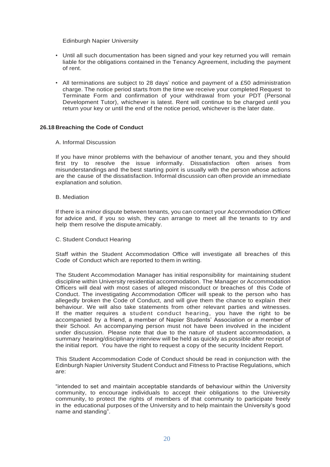Edinburgh Napier University

- Until all such documentation has been signed and your key returned you will remain liable for the obligations contained in the Tenancy Agreement, including the payment of rent.
- All terminations are subject to 28 days' notice and payment of a £50 administration charge. The notice period starts from the time we receive your completed Request to Terminate Form and confirmation of your withdrawal from your PDT (Personal Development Tutor), whichever is latest. Rent will continue to be charged until you return your key or until the end of the notice period, whichever is the later date.

#### **26.18 Breaching the Code of Conduct**

#### A. Informal Discussion

If you have minor problems with the behaviour of another tenant, you and they should first try to resolve the issue informally. Dissatisfaction often arises from misunderstandings and the best starting point is usually with the person whose actions are the cause of the dissatisfaction. Informal discussion can often provide an immediate explanation and solution.

#### B. Mediation

If there is a minor dispute between tenants, you can contact your Accommodation Officer for advice and, if you so wish, they can arrange to meet all the tenants to try and help them resolve the dispute amicably.

#### C. Student Conduct Hearing

Staff within the Student Accommodation Office will investigate all breaches of this Code of Conduct which are reported to them in writing.

The Student Accommodation Manager has initial responsibility for maintaining student discipline within University residential accommodation. The Manager or Accommodation Officers will deal with most cases of alleged misconduct or breaches of this Code of Conduct. The investigating Accommodation Officer will speak to the person who has allegedly broken the Code of Conduct, and will give them the chance to explain their behaviour. We will also take statements from other relevant parties and witnesses. If the matter requires a student conduct hearing, you have the right to be accompanied by a friend, a member of Napier Students' Association or a member of their School. An accompanying person must not have been involved in the incident under discussion. Please note that due to the nature of student accommodation, a summary hearing/disciplinary interview will be held as quickly as possible after receipt of the initial report. You have the right to request a copy of the security Incident Report.

This Student Accommodation Code of Conduct should be read in conjunction with the Edinburgh Napier University Student Conduct and Fitness to Practise Regulations, which are:

"intended to set and maintain acceptable standards of behaviour within the University community, to encourage individuals to accept their obligations to the University community, to protect the rights of members of that community to participate freely in the educational purposes of the University and to help maintain the University's good name and standing".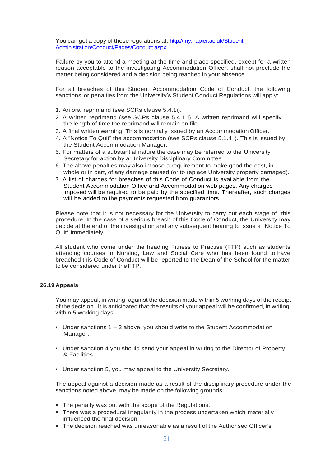You can get a copy of these regulations at: http://my.napier.ac.uk/Student-Administration/Conduct/Pages/Conduct.aspx

Failure by you to attend a meeting at the time and place specified, except for a written reason acceptable to the investigating Accommodation Officer, shall not preclude the matter being considered and a decision being reached in your absence.

For all breaches of this Student Accommodation Code of Conduct, the following sanctions or penalties from the University's Student Conduct Regulations will apply:

- 1. An oral reprimand (see SCRs clause 5.4.1i).
- 2. A written reprimand (see SCRs clause 5.4.1 i). A written reprimand will specify the length of time the reprimand will remain on file.
- 3. A final written warning. This is normally issued by an Accommodation Officer.
- 4. A "Notice To Quit" the accommodation (see SCRs clause 5.1.4 i). This is issued by the Student Accommodation Manager.
- 5. For matters of a substantial nature the case may be referred to the University Secretary for action by a University Disciplinary Committee.
- 6. The above penalties may also impose a requirement to make good the cost, in whole or in part, of any damage caused (or to replace University property damaged).
- 7. A list of charges for breaches of this Code of Conduct is available from the Student Accommodation Office and Accommodation web pages. Any charges imposed will be required to be paid by the specified time. Thereafter, such charges will be added to the payments requested from guarantors.

Please note that it is not necessary for the University to carry out each stage of this procedure. In the case of a serious breach of this Code of Conduct, the University may decide at the end of the investigation and any subsequent hearing to issue a "Notice To Quit\* immediately.

All student who come under the heading Fitness to Practise (FTP) such as students attending courses in Nursing, Law and Social Care who has been found to have breached this Code of Conduct will be reported to the Dean of the School for the matter to be considered under theFTP.

#### **26.19 Appeals**

You may appeal, in writing, against the decision made within 5 working days of the receipt of the decision. It is anticipated that the results of your appeal will be confirmed, in writing, within 5 working days.

- Under sanctions 1 3 above, you should write to the Student Accommodation Manager.
- Under sanction 4 you should send your appeal in writing to the Director of Property & Facilities.
- Under sanction 5, you may appeal to the University Secretary.

The appeal against a decision made as a result of the disciplinary procedure under the sanctions noted above, may be made on the following grounds:

- The penalty was out with the scope of the Regulations.
- There was a procedural irregularity in the process undertaken which materially influenced the final decision.
- The decision reached was unreasonable as a result of the Authorised Officer's